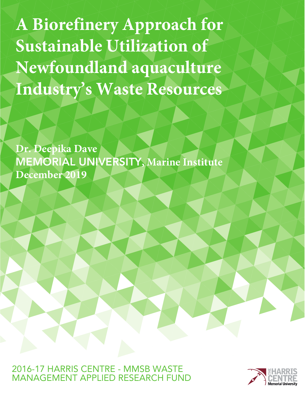**A Biorefinery Approach for Sustainable Utilization of Newfoundland aquaculture** Industry's Waste Resources

Dr. Deepika Dave **MEMORIAL UNIVERSITY, Marine Institute** December 2019

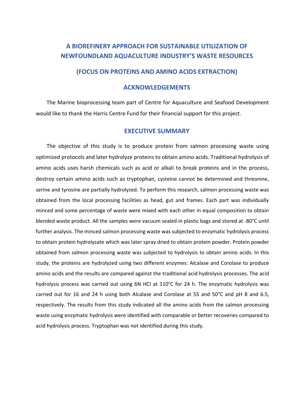# **A BIOREFINERY APPROACH FOR SUSTAINABLE UTILIZATION OF NEWFOUNDLAND AQUACULTURE INDUSTRY'S WASTE RESOURCES**

## **(FOCUS ON PROTEINS AND AMINO ACIDS EXTRACTION)**

## **ACKNOWLEDGEMENTS**

The Marine bioprocessing team part of Centre for Aquaculture and Seafood Development would like to thank the Harris Centre Fund for their financial support for this project.

## **EXECUTIVE SUMMARY**

The objective of this study is to produce protein from salmon processing waste using optimized protocols and later hydrolyze proteins to obtain amino acids. Traditional hydrolysis of amino acids uses harsh chemicals such as acid or alkali to break proteins and in the process, destroy certain amino acids such as tryptophan, cysteine cannot be determined and threonine, serine and tyrosine are partially hydrolyzed. To perform this research, salmon processing waste was obtained from the local processing facilities as head, gut and frames. Each part was individually minced and some percentage of waste were mixed with each other in equal composition to obtain blended waste product. All the samples were vacuum sealed in plastic bags and stored at -80°C until further analysis. The minced salmon processing waste was subjected to enzymatic hydrolysis process to obtain protein hydrolysate which was later spray dried to obtain protein powder. Protein powder obtained from salmon processing waste was subjected to hydrolysis to obtain amino acids. In this study, the proteins are hydrolyzed using two different enzymes: Alcalase and Corolase to produce amino acids and the results are compared against the traditional acid hydrolysis processes. The acid hydrolysis process was carried out using 6N HCl at 110°C for 24 h. The enzymatic hydrolysis was carried out for 16 and 24 h using both Alcalase and Corolase at 55 and 50°C and pH 8 and 6.5, respectively. The results from this study indicated all the amino acids from the salmon processing waste using enzymatic hydrolysis were identified with comparable or better recoveries compared to acid hydrolysis process. Tryptophan was not identified during this study.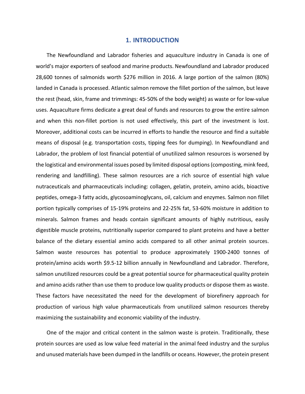#### **1. INTRODUCTION**

The Newfoundland and Labrador fisheries and aquaculture industry in Canada is one of world's major exporters of seafood and marine products. Newfoundland and Labrador produced 28,600 tonnes of salmonids worth \$276 million in 2016. A large portion of the salmon (80%) landed in Canada is processed. Atlantic salmon remove the fillet portion of the salmon, but leave the rest (head, skin, frame and trimmings: 45-50% of the body weight) as waste or for low-value uses. Aquaculture firms dedicate a great deal of funds and resources to grow the entire salmon and when this non-fillet portion is not used effectively, this part of the investment is lost. Moreover, additional costs can be incurred in efforts to handle the resource and find a suitable means of disposal (e.g. transportation costs, tipping fees for dumping). In Newfoundland and Labrador, the problem of lost financial potential of unutilized salmon resources is worsened by the logistical and environmental issues posed by limited disposal options (composting, mink feed, rendering and landfilling). These salmon resources are a rich source of essential high value nutraceuticals and pharmaceuticals including: collagen, gelatin, protein, amino acids, bioactive peptides, omega-3 fatty acids, glycosoaminoglycans, oil, calcium and enzymes. Salmon non fillet portion typically comprises of 15-19% proteins and 22-25% fat, 53-60% moisture in addition to minerals. Salmon frames and heads contain significant amounts of highly nutritious, easily digestible muscle proteins, nutritionally superior compared to plant proteins and have a better balance of the dietary essential amino acids compared to all other animal protein sources. Salmon waste resources has potential to produce approximately 1900-2400 tonnes of protein/amino acids worth \$9.5-12 billion annually in Newfoundland and Labrador. Therefore, salmon unutilized resources could be a great potential source for pharmaceutical quality protein and amino acids rather than use them to produce low quality products or dispose them as waste. These factors have necessitated the need for the development of biorefinery approach for production of various high value pharmaceuticals from unutilized salmon resources thereby maximizing the sustainability and economic viability of the industry.

One of the major and critical content in the salmon waste is protein. Traditionally, these protein sources are used as low value feed material in the animal feed industry and the surplus and unused materials have been dumped in the landfills or oceans. However, the protein present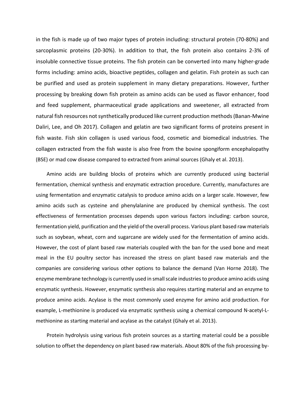in the fish is made up of two major types of protein including: structural protein (70-80%) and sarcoplasmic proteins (20-30%). In addition to that, the fish protein also contains 2-3% of insoluble connective tissue proteins. The fish protein can be converted into many higher-grade forms including: amino acids, bioactive peptides, collagen and gelatin. Fish protein as such can be purified and used as protein supplement in many dietary preparations. However, further processing by breaking down fish protein as amino acids can be used as flavor enhancer, food and feed supplement, pharmaceutical grade applications and sweetener, all extracted from natural fish resources not synthetically produced like current production methods (Banan-Mwine Daliri, Lee, and Oh 2017). Collagen and gelatin are two significant forms of proteins present in fish waste. Fish skin collagen is used various food, cosmetic and biomedical industries. The collagen extracted from the fish waste is also free from the bovine spongiform encephalopathy (BSE) or mad cow disease compared to extracted from animal sources (Ghaly et al. 2013).

Amino acids are building blocks of proteins which are currently produced using bacterial fermentation, chemical synthesis and enzymatic extraction procedure. Currently, manufactures are using fermentation and enzymatic catalysis to produce amino acids on a larger scale. However, few amino acids such as cysteine and phenylalanine are produced by chemical synthesis. The cost effectiveness of fermentation processes depends upon various factors including: carbon source, fermentation yield, purification and the yield of the overall process. Various plant based raw materials such as soybean, wheat, corn and sugarcane are widely used for the fermentation of amino acids. However, the cost of plant based raw materials coupled with the ban for the used bone and meat meal in the EU poultry sector has increased the stress on plant based raw materials and the companies are considering various other options to balance the demand (Van Horne 2018). The enzyme membrane technology is currently used in small scale industries to produce amino acids using enzymatic synthesis. However, enzymatic synthesis also requires starting material and an enzyme to produce amino acids. Acylase is the most commonly used enzyme for amino acid production. For example, L-methionine is produced via enzymatic synthesis using a chemical compound N-acetyl-Lmethionine as starting material and acylase as the catalyst (Ghaly et al. 2013).

Protein hydrolysis using various fish protein sources as a starting material could be a possible solution to offset the dependency on plant based raw materials. About 80% of the fish processing by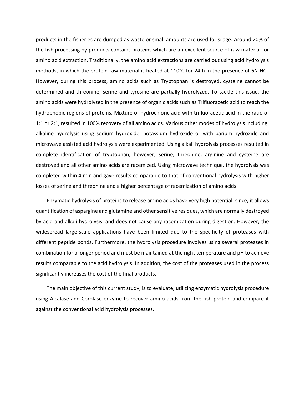products in the fisheries are dumped as waste or small amounts are used for silage. Around 20% of the fish processing by-products contains proteins which are an excellent source of raw material for amino acid extraction. Traditionally, the amino acid extractions are carried out using acid hydrolysis methods, in which the protein raw material is heated at 110°C for 24 h in the presence of 6N HCl. However, during this process, amino acids such as Tryptophan is destroyed, cysteine cannot be determined and threonine, serine and tyrosine are partially hydrolyzed. To tackle this issue, the amino acids were hydrolyzed in the presence of organic acids such as Trifluoracetic acid to reach the hydrophobic regions of proteins. Mixture of hydrochloric acid with trifluoracetic acid in the ratio of 1:1 or 2:1, resulted in 100% recovery of all amino acids. Various other modes of hydrolysis including: alkaline hydrolysis using sodium hydroxide, potassium hydroxide or with barium hydroxide and microwave assisted acid hydrolysis were experimented. Using alkali hydrolysis processes resulted in complete identification of tryptophan, however, serine, threonine, arginine and cysteine are destroyed and all other amino acids are racemized. Using microwave technique, the hydrolysis was completed within 4 min and gave results comparable to that of conventional hydrolysis with higher losses of serine and threonine and a higher percentage of racemization of amino acids.

Enzymatic hydrolysis of proteins to release amino acids have very high potential, since, it allows quantification of aspargine and glutamine and other sensitive residues, which are normally destroyed by acid and alkali hydrolysis, and does not cause any racemization during digestion. However, the widespread large-scale applications have been limited due to the specificity of proteases with different peptide bonds. Furthermore, the hydrolysis procedure involves using several proteases in combination for a longer period and must be maintained at the right temperature and pH to achieve results comparable to the acid hydrolysis. In addition, the cost of the proteases used in the process significantly increases the cost of the final products.

The main objective of this current study, is to evaluate, utilizing enzymatic hydrolysis procedure using Alcalase and Corolase enzyme to recover amino acids from the fish protein and compare it against the conventional acid hydrolysis processes.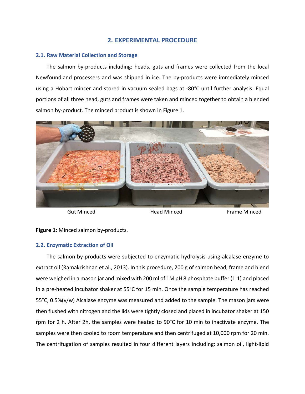## **2. EXPERIMENTAL PROCEDURE**

## **2.1. Raw Material Collection and Storage**

The salmon by-products including: heads, guts and frames were collected from the local Newfoundland processers and was shipped in ice. The by-products were immediately minced using a Hobart mincer and stored in vacuum sealed bags at -80°C until further analysis. Equal portions of all three head, guts and frames were taken and minced together to obtain a blended salmon by-product. The minced product is shown in Figure 1.



Gut Minced Head Minced Frame Minced

**Figure 1:** Minced salmon by-products.

## **2.2. Enzymatic Extraction of Oil**

The salmon by-products were subjected to enzymatic hydrolysis using alcalase enzyme to extract oil (Ramakrishnan et al., 2013). In this procedure, 200 g of salmon head, frame and blend were weighed in a mason jar and mixed with 200 ml of 1M pH 8 phosphate buffer (1:1) and placed in a pre-heated incubator shaker at 55°C for 15 min. Once the sample temperature has reached 55°C, 0.5%(v/w) Alcalase enzyme was measured and added to the sample. The mason jars were then flushed with nitrogen and the lids were tightly closed and placed in incubator shaker at 150 rpm for 2 h. After 2h, the samples were heated to 90°C for 10 min to inactivate enzyme. The samples were then cooled to room temperature and then centrifuged at 10,000 rpm for 20 min. The centrifugation of samples resulted in four different layers including: salmon oil, light-lipid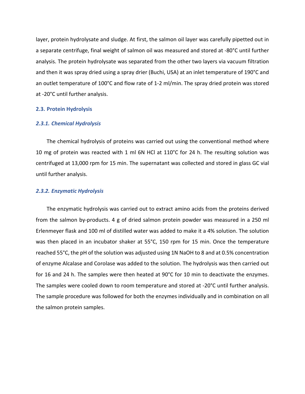layer, protein hydrolysate and sludge. At first, the salmon oil layer was carefully pipetted out in a separate centrifuge, final weight of salmon oil was measured and stored at -80°C until further analysis. The protein hydrolysate was separated from the other two layers via vacuum filtration and then it was spray dried using a spray drier (Buchi, USA) at an inlet temperature of 190°C and an outlet temperature of 100°C and flow rate of 1-2 ml/min. The spray dried protein was stored at -20°C until further analysis.

## **2.3. Protein Hydrolysis**

#### *2.3.1. Chemical Hydrolysis*

The chemical hydrolysis of proteins was carried out using the conventional method where 10 mg of protein was reacted with 1 ml 6N HCl at 110°C for 24 h. The resulting solution was centrifuged at 13,000 rpm for 15 min. The supernatant was collected and stored in glass GC vial until further analysis.

#### *2.3.2. Enzymatic Hydrolysis*

The enzymatic hydrolysis was carried out to extract amino acids from the proteins derived from the salmon by-products. 4 g of dried salmon protein powder was measured in a 250 ml Erlenmeyer flask and 100 ml of distilled water was added to make it a 4% solution. The solution was then placed in an incubator shaker at 55°C, 150 rpm for 15 min. Once the temperature reached 55°C, the pH of the solution was adjusted using 1N NaOH to 8 and at 0.5% concentration of enzyme Alcalase and Corolase was added to the solution. The hydrolysis was then carried out for 16 and 24 h. The samples were then heated at 90°C for 10 min to deactivate the enzymes. The samples were cooled down to room temperature and stored at -20°C until further analysis. The sample procedure was followed for both the enzymes individually and in combination on all the salmon protein samples.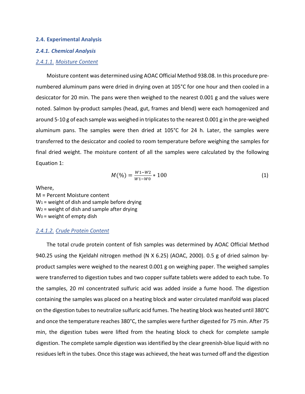#### **2.4. Experimental Analysis**

#### *2.4.1. Chemical Analysis*

#### *2.4.1.1. Moisture Content*

Moisture content was determined using AOAC Official Method 938.08. In this procedure prenumbered aluminum pans were dried in drying oven at 105°C for one hour and then cooled in a desiccator for 20 min. The pans were then weighed to the nearest 0.001 g and the values were noted. Salmon by-product samples (head, gut, frames and blend) were each homogenized and around 5-10 g of each sample was weighed in triplicates to the nearest 0.001 g in the pre-weighed aluminum pans. The samples were then dried at 105°C for 24 h. Later, the samples were transferred to the desiccator and cooled to room temperature before weighing the samples for final dried weight. The moisture content of all the samples were calculated by the following Equation 1:

$$
M(\%) = \frac{W1 - W2}{W1 - W0} * 100 \tag{1}
$$

Where,

M = Percent Moisture content  $W_1$  = weight of dish and sample before drying  $W_2$  = weight of dish and sample after drying W0 = weight of empty dish

#### *2.4.1.2. Crude Protein Content*

The total crude protein content of fish samples was determined by AOAC Official Method 940.25 using the Kjeldahl nitrogen method (N X 6.25) (AOAC, 2000). 0.5 g of dried salmon byproduct samples were weighed to the nearest 0.001 g on weighing paper. The weighed samples were transferred to digestion tubes and two copper sulfate tablets were added to each tube. To the samples, 20 ml concentrated sulfuric acid was added inside a fume hood. The digestion containing the samples was placed on a heating block and water circulated manifold was placed on the digestion tubes to neutralize sulfuric acid fumes. The heating block was heated until 380°C and once the temperature reaches 380°C, the samples were further digested for 75 min. After 75 min, the digestion tubes were lifted from the heating block to check for complete sample digestion. The complete sample digestion was identified by the clear greenish-blue liquid with no residues left in the tubes. Once this stage was achieved, the heat wasturned off and the digestion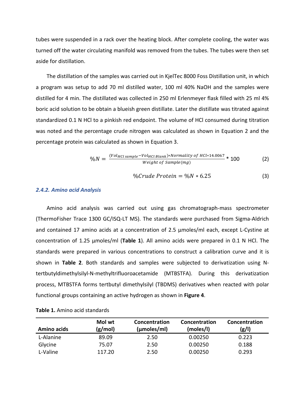tubes were suspended in a rack over the heating block. After complete cooling, the water was turned off the water circulating manifold was removed from the tubes. The tubes were then set aside for distillation.

The distillation of the samples was carried out in KjelTec 8000 Foss Distillation unit, in which a program was setup to add 70 ml distilled water, 100 ml 40% NaOH and the samples were distilled for 4 min. The distillated was collected in 250 ml Erlenmeyer flask filled with 25 ml 4% boric acid solution to be obtain a blueish green distillate. Later the distillate was titrated against standardized 0.1 N HCl to a pinkish red endpoint. The volume of HCl consumed during titration was noted and the percentage crude nitrogen was calculated as shown in Equation 2 and the percentage protein was calculated as shown in Equation 3.

$$
\%N = \frac{(Vol_{HCl\, sample} - Vol_{HCl\, Blank}) * Normality\ of\ HCl*14.0067}{Weight\ of\ Sample(mg)} * 100
$$
 (2)

$$
\%Crude Protein = \%N * 6.25 \tag{3}
$$

#### *2.4.2. Amino acid Analysis*

Amino acid analysis was carried out using gas chromatograph-mass spectrometer (ThermoFisher Trace 1300 GC/ISQ-LT MS). The standards were purchased from Sigma-Aldrich and contained 17 amino acids at a concentration of 2.5 µmoles/ml each, except L-Cystine at concentration of 1.25 µmoles/ml (**Table 1**). All amino acids were prepared in 0.1 N HCl. The standards were prepared in various concentrations to construct a calibration curve and it is shown in **Table 2**. Both standards and samples were subjected to derivatization using Ntertbutyldimethylsilyl-N-methyltrifluoroacetamide (MTBSTFA). During this derivatization process, MTBSTFA forms tertbutyl dimethylsilyl (TBDMS) derivatives when reacted with polar functional groups containing an active hydrogen as shown in **Figure 4**.

| Amino acids | Mol wt<br>(g/mol) | Concentration<br>(µmoles/ml) | Concentration<br>(moles/l) | Concentration<br>(g/1) |
|-------------|-------------------|------------------------------|----------------------------|------------------------|
| L-Alanine   | 89.09             | 2.50                         | 0.00250                    | 0.223                  |
| Glycine     | 75.07             | 2.50                         | 0.00250                    | 0.188                  |
| L-Valine    | 117.20            | 2.50                         | 0.00250                    | 0.293                  |

## **Table 1.** Amino acid standards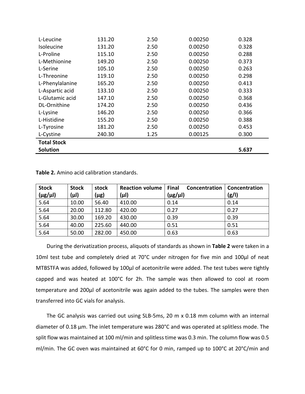| L-Leucine          | 131.20 | 2.50 | 0.00250 | 0.328 |
|--------------------|--------|------|---------|-------|
| Isoleucine         | 131.20 | 2.50 | 0.00250 | 0.328 |
| L-Proline          | 115.10 | 2.50 | 0.00250 | 0.288 |
| L-Methionine       | 149.20 | 2.50 | 0.00250 | 0.373 |
| L-Serine           | 105.10 | 2.50 | 0.00250 | 0.263 |
| L-Threonine        | 119.10 | 2.50 | 0.00250 | 0.298 |
| L-Phenylalanine    | 165.20 | 2.50 | 0.00250 | 0.413 |
| L-Aspartic acid    | 133.10 | 2.50 | 0.00250 | 0.333 |
| L-Glutamic acid    | 147.10 | 2.50 | 0.00250 | 0.368 |
| DL-Ornithine       | 174.20 | 2.50 | 0.00250 | 0.436 |
| L-Lysine           | 146.20 | 2.50 | 0.00250 | 0.366 |
| L-Histidine        | 155.20 | 2.50 | 0.00250 | 0.388 |
| L-Tyrosine         | 181.20 | 2.50 | 0.00250 | 0.453 |
| L-Cystine          | 240.30 | 1.25 | 0.00125 | 0.300 |
| <b>Total Stock</b> |        |      |         |       |
| <b>Solution</b>    |        |      |         | 5.637 |

**Table 2.** Amino acid calibration standards.

| <b>Stock</b>    | <b>Stock</b> | stock  | <b>Reaction volume</b> | Final<br>Concentration | Concentration |
|-----------------|--------------|--------|------------------------|------------------------|---------------|
| $(\mu g/\mu I)$ | (µl)         | (µg)   | (µl)                   | $(\mu g/\mu I)$        | (g/l)         |
| 5.64            | 10.00        | 56.40  | 410.00                 | 0.14                   | 0.14          |
| 5.64            | 20.00        | 112.80 | 420.00                 | 0.27                   | 0.27          |
| 5.64            | 30.00        | 169.20 | 430.00                 | 0.39                   | 0.39          |
| 5.64            | 40.00        | 225.60 | 440.00                 | 0.51                   | 0.51          |
| 5.64            | 50.00        | 282.00 | 450.00                 | 0.63                   | 0.63          |

During the derivatization process, aliquots of standards as shown in **Table 2** were taken in a 10ml test tube and completely dried at 70°C under nitrogen for five min and 100µl of neat MTBSTFA was added, followed by 100µl of acetonitrile were added. The test tubes were tightly capped and was heated at 100°C for 2h. The sample was then allowed to cool at room temperature and 200µl of acetonitrile was again added to the tubes. The samples were then transferred into GC vials for analysis.

The GC analysis was carried out using SLB-5ms, 20 m x 0.18 mm column with an internal diameter of 0.18 µm. The inlet temperature was 280°C and was operated at splitless mode. The split flow was maintained at 100 ml/min and splitless time was 0.3 min. The column flow was 0.5 ml/min. The GC oven was maintained at 60°C for 0 min, ramped up to 100°C at 20°C/min and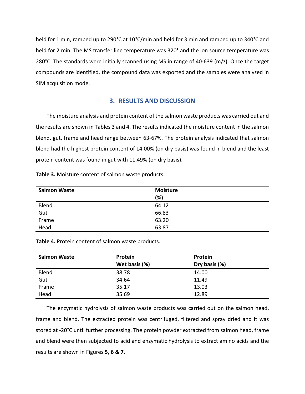held for 1 min, ramped up to 290°C at 10°C/min and held for 3 min and ramped up to 340°C and held for 2 min. The MS transfer line temperature was 320° and the ion source temperature was 280°C. The standards were initially scanned using MS in range of 40-639 (m/z). Once the target compounds are identified, the compound data was exported and the samples were analyzed in SIM acquisition mode.

## **3. RESULTS AND DISCUSSION**

The moisture analysis and protein content of the salmon waste products was carried out and the results are shown in Tables 3 and 4. The results indicated the moisture content in the salmon blend, gut, frame and head range between 63-67%. The protein analysis indicated that salmon blend had the highest protein content of 14.00% (on dry basis) was found in blend and the least protein content was found in gut with 11.49% (on dry basis).

| <b>Salmon Waste</b> | <b>Moisture</b><br>(%) |
|---------------------|------------------------|
| Blend               | 64.12                  |
| Gut                 | 66.83                  |
| Frame               | 63.20                  |
| Head                | 63.87                  |

**Table 3.** Moisture content of salmon waste products.

**Table 4.** Protein content of salmon waste products.

| <b>Salmon Waste</b> | Protein       | Protein       |  |
|---------------------|---------------|---------------|--|
|                     | Wet basis (%) | Dry basis (%) |  |
| Blend               | 38.78         | 14.00         |  |
| Gut                 | 34.64         | 11.49         |  |
| Frame               | 35.17         | 13.03         |  |
| Head                | 35.69         | 12.89         |  |

The enzymatic hydrolysis of salmon waste products was carried out on the salmon head, frame and blend. The extracted protein was centrifuged, filtered and spray dried and it was stored at -20°C until further processing. The protein powder extracted from salmon head, frame and blend were then subjected to acid and enzymatic hydrolysis to extract amino acids and the results are shown in Figures **5, 6 & 7**.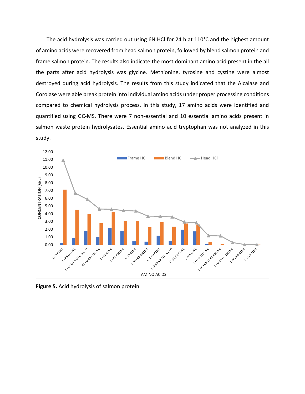The acid hydrolysis was carried out using 6N HCl for 24 h at 110°C and the highest amount of amino acids were recovered from head salmon protein, followed by blend salmon protein and frame salmon protein. The results also indicate the most dominant amino acid present in the all the parts after acid hydrolysis was glycine. Methionine, tyrosine and cystine were almost destroyed during acid hydrolysis. The results from this study indicated that the Alcalase and Corolase were able break protein into individual amino acids under proper processing conditions compared to chemical hydrolysis process. In this study, 17 amino acids were identified and quantified using GC-MS. There were 7 non-essential and 10 essential amino acids present in salmon waste protein hydrolysates. Essential amino acid tryptophan was not analyzed in this study.



**Figure 5.** Acid hydrolysis of salmon protein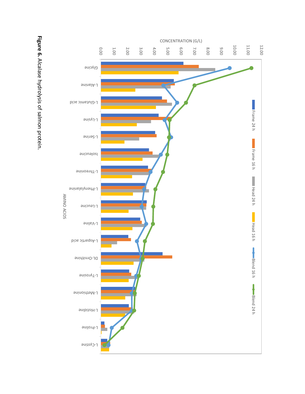Figure 6. Alcalase hydrolysis of salmon protein. Alcalase hydrolysis of salmon protein.

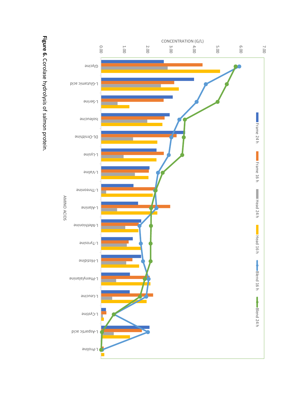Figure 6. Corolase hydrolysis of salmon protein. Corolase hydrolysis of salmon protein.

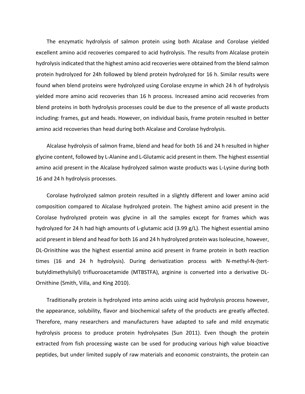The enzymatic hydrolysis of salmon protein using both Alcalase and Corolase yielded excellent amino acid recoveries compared to acid hydrolysis. The results from Alcalase protein hydrolysis indicated that the highest amino acid recoveries were obtained from the blend salmon protein hydrolyzed for 24h followed by blend protein hydrolyzed for 16 h. Similar results were found when blend proteins were hydrolyzed using Corolase enzyme in which 24 h of hydrolysis yielded more amino acid recoveries than 16 h process. Increased amino acid recoveries from blend proteins in both hydrolysis processes could be due to the presence of all waste products including: frames, gut and heads. However, on individual basis, frame protein resulted in better amino acid recoveries than head during both Alcalase and Corolase hydrolysis.

 Alcalase hydrolysis of salmon frame, blend and head for both 16 and 24 h resulted in higher glycine content, followed by L-Alanine and L-Glutamic acid present in them. The highest essential amino acid present in the Alcalase hydrolyzed salmon waste products was L-Lysine during both 16 and 24 h hydrolysis processes.

Corolase hydrolyzed salmon protein resulted in a slightly different and lower amino acid composition compared to Alcalase hydrolyzed protein. The highest amino acid present in the Corolase hydrolyzed protein was glycine in all the samples except for frames which was hydrolyzed for 24 h had high amounts of L-glutamic acid (3.99 g/L). The highest essential amino acid present in blend and head for both 16 and 24 h hydrolyzed protein was Isoleucine, however, DL-Orinithine was the highest essential amino acid present in frame protein in both reaction times (16 and 24 h hydrolysis). During derivatization process with N-methyl-N-(tertbutyldimethylsilyl) trifluoroacetamide (MTBSTFA), arginine is converted into a derivative DL-Ornithine (Smith, Villa, and King 2010).

Traditionally protein is hydrolyzed into amino acids using acid hydrolysis process however, the appearance, solubility, flavor and biochemical safety of the products are greatly affected. Therefore, many researchers and manufacturers have adapted to safe and mild enzymatic hydrolysis process to produce protein hydrolysates (Sun 2011). Even though the protein extracted from fish processing waste can be used for producing various high value bioactive peptides, but under limited supply of raw materials and economic constraints, the protein can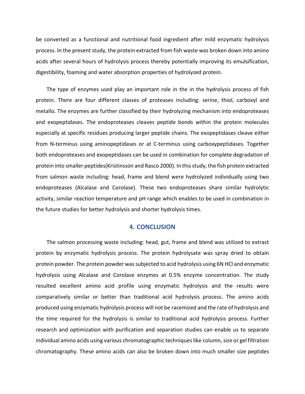be converted as a functional and nutritional food ingredient after mild enzymatic hydrolysis process. In the present study, the protein extracted from fish waste was broken down into amino acids after several hours of hydrolysis process thereby potentially improving its emulsification, digestibility, foaming and water absorption properties of hydrolyzed protein.

The type of enzymes used play an important role in the in the hydrolysis process of fish protein. There are four different classes of proteases including: serine, thiol, carboxyl and metallo. The enzymes are further classified by their hydrolyzing mechanism into endoproteases and exopeptidases. The endoproteases cleaves peptide bonds within the protein molecules especially at specific residues producing larger peptide chains. The exopeptidases cleave either from N-terminus using aminopeptidases or at C-terminus using carboxypeptidases. Together both endoproteases and exopeptidases can be used in combination for complete degradation of protein into smaller peptides(Kristinsson and Rasco 2000). In this study, the fish protein extracted from salmon waste including: head, frame and blend were hydrolyzed individually using two endoproteases (Alcalase and Corolase). These two endoproteases share similar hydrolytic activity, similar reaction temperature and pH range which enables to be used in combination in the future studies for better hydrolysis and shorter hydrolysis times.

## **4. CONCLUSION**

The salmon processing waste including: head, gut, frame and blend was utilized to extract protein by enzymatic hydrolysis process. The protein hydrolysate was spray dried to obtain protein powder. The protein powder was subjected to acid hydrolysis using 6N HCl and enzymatic hydrolysis using Alcalase and Corolase enzymes at 0.5% enzyme concentration. The study resulted excellent amino acid profile using enzymatic hydrolysis and the results were comparatively similar or better than traditional acid hydrolysis process. The amino acids produced using enzymatic hydrolysis process will not be racemized and the rate of hydrolysis and the time required for the hydrolysis is similar to traditional acid hydrolysis process. Further research and optimization with purification and separation studies can enable us to separate individual amino acids using various chromatographic techniques like column, size or gel filtration chromatography. These amino acids can also be broken down into much smaller size peptides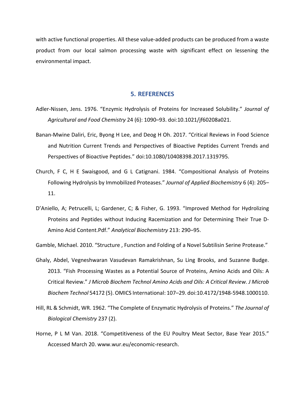with active functional properties. All these value-added products can be produced from a waste product from our local salmon processing waste with significant effect on lessening the environmental impact.

## **5. REFERENCES**

- Adler-Nissen, Jens. 1976. "Enzymic Hydrolysis of Proteins for Increased Solubility." *Journal of Agricultural and Food Chemistry* 24 (6): 1090–93. doi:10.1021/jf60208a021.
- Banan-Mwine Daliri, Eric, Byong H Lee, and Deog H Oh. 2017. "Critical Reviews in Food Science and Nutrition Current Trends and Perspectives of Bioactive Peptides Current Trends and Perspectives of Bioactive Peptides." doi:10.1080/10408398.2017.1319795.
- Church, F C, H E Swaisgood, and G L Catignani. 1984. "Compositional Analysis of Proteins Following Hydrolysis by Immobilized Proteases." *Journal of Applied Biochemistry* 6 (4): 205– 11.
- D'Aniello, A; Petrucelli, L; Gardener, C; & Fisher, G. 1993. "Improved Method for Hydrolizing Proteins and Peptides without Inducing Racemization and for Determining Their True D-Amino Acid Content.Pdf." *Analytical Biochemistry* 213: 290–95.

Gamble, Michael. 2010. "Structure , Function and Folding of a Novel Subtilisin Serine Protease."

- Ghaly, Abdel, Vegneshwaran Vasudevan Ramakrishnan, Su Ling Brooks, and Suzanne Budge. 2013. "Fish Processing Wastes as a Potential Source of Proteins, Amino Acids and Oils: A Critical Review." *J Microb Biochem Technol Amino Acids and Oils: A Critical Review. J Microb Biochem Technol* 54172 (5). OMICS International: 107–29. doi:10.4172/1948-5948.1000110.
- Hill, RL & Schmidt, WR. 1962. "The Complete of Enzymatic Hydrolysis of Proteins." *The Journal of Biological Chemistry* 237 (2).
- Horne, P L M Van. 2018. "Competitiveness of the EU Poultry Meat Sector, Base Year 2015." Accessed March 20. www.wur.eu/economic-research.